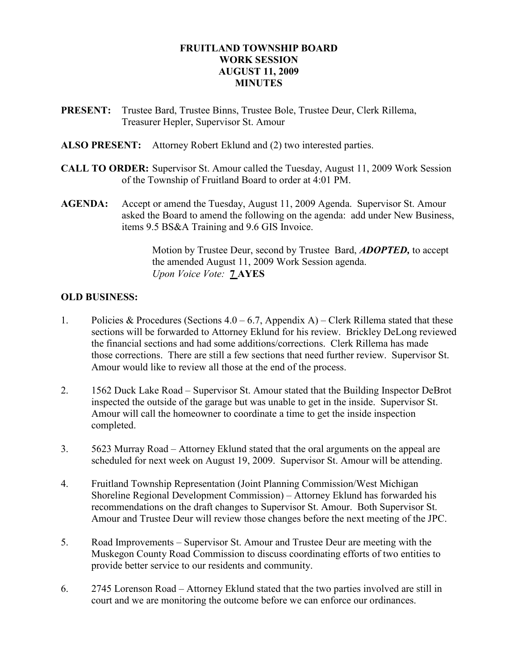### FRUITLAND TOWNSHIP BOARD WORK SESSION AUGUST 11, 2009 **MINUTES**

- PRESENT: Trustee Bard, Trustee Binns, Trustee Bole, Trustee Deur, Clerk Rillema, Treasurer Hepler, Supervisor St. Amour
- ALSO PRESENT: Attorney Robert Eklund and (2) two interested parties.
- CALL TO ORDER: Supervisor St. Amour called the Tuesday, August 11, 2009 Work Session of the Township of Fruitland Board to order at 4:01 PM.
- AGENDA: Accept or amend the Tuesday, August 11, 2009 Agenda. Supervisor St. Amour asked the Board to amend the following on the agenda: add under New Business, items 9.5 BS&A Training and 9.6 GIS Invoice.

Motion by Trustee Deur, second by Trustee Bard, **ADOPTED**, to accept the amended August 11, 2009 Work Session agenda. Upon Voice Vote: 7 AYES

#### OLD BUSINESS:

- 1. Policies & Procedures (Sections  $4.0 6.7$ , Appendix A) Clerk Rillema stated that these sections will be forwarded to Attorney Eklund for his review. Brickley DeLong reviewed the financial sections and had some additions/corrections. Clerk Rillema has made those corrections. There are still a few sections that need further review. Supervisor St. Amour would like to review all those at the end of the process.
- 2. 1562 Duck Lake Road Supervisor St. Amour stated that the Building Inspector DeBrot inspected the outside of the garage but was unable to get in the inside. Supervisor St. Amour will call the homeowner to coordinate a time to get the inside inspection completed.
- 3. 5623 Murray Road Attorney Eklund stated that the oral arguments on the appeal are scheduled for next week on August 19, 2009. Supervisor St. Amour will be attending.
- 4. Fruitland Township Representation (Joint Planning Commission/West Michigan Shoreline Regional Development Commission) – Attorney Eklund has forwarded his recommendations on the draft changes to Supervisor St. Amour. Both Supervisor St. Amour and Trustee Deur will review those changes before the next meeting of the JPC.
- 5. Road Improvements Supervisor St. Amour and Trustee Deur are meeting with the Muskegon County Road Commission to discuss coordinating efforts of two entities to provide better service to our residents and community.
- 6. 2745 Lorenson Road Attorney Eklund stated that the two parties involved are still in court and we are monitoring the outcome before we can enforce our ordinances.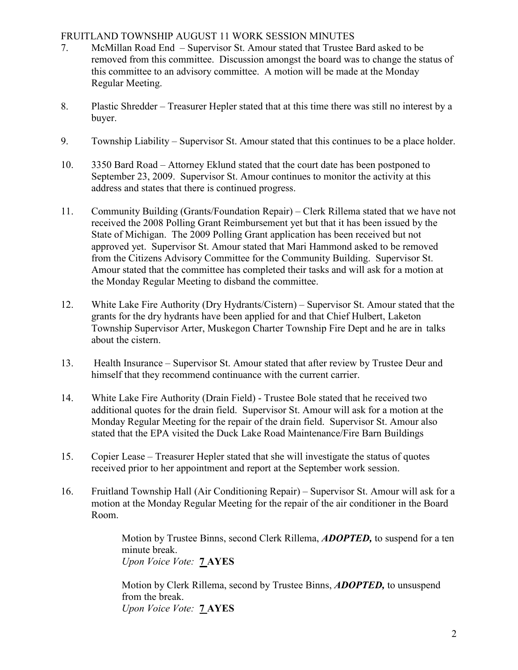### FRUITLAND TOWNSHIP AUGUST 11 WORK SESSION MINUTES

- 7. McMillan Road End Supervisor St. Amour stated that Trustee Bard asked to be removed from this committee. Discussion amongst the board was to change the status of this committee to an advisory committee. A motion will be made at the Monday Regular Meeting.
- 8. Plastic Shredder Treasurer Hepler stated that at this time there was still no interest by a buyer.
- 9. Township Liability Supervisor St. Amour stated that this continues to be a place holder.
- 10. 3350 Bard Road Attorney Eklund stated that the court date has been postponed to September 23, 2009. Supervisor St. Amour continues to monitor the activity at this address and states that there is continued progress.
- 11. Community Building (Grants/Foundation Repair) Clerk Rillema stated that we have not received the 2008 Polling Grant Reimbursement yet but that it has been issued by the State of Michigan. The 2009 Polling Grant application has been received but not approved yet. Supervisor St. Amour stated that Mari Hammond asked to be removed from the Citizens Advisory Committee for the Community Building. Supervisor St. Amour stated that the committee has completed their tasks and will ask for a motion at the Monday Regular Meeting to disband the committee.
- 12. White Lake Fire Authority (Dry Hydrants/Cistern) Supervisor St. Amour stated that the grants for the dry hydrants have been applied for and that Chief Hulbert, Laketon Township Supervisor Arter, Muskegon Charter Township Fire Dept and he are in talks about the cistern.
- 13. Health Insurance Supervisor St. Amour stated that after review by Trustee Deur and himself that they recommend continuance with the current carrier.
- 14. White Lake Fire Authority (Drain Field) Trustee Bole stated that he received two additional quotes for the drain field. Supervisor St. Amour will ask for a motion at the Monday Regular Meeting for the repair of the drain field. Supervisor St. Amour also stated that the EPA visited the Duck Lake Road Maintenance/Fire Barn Buildings
- 15. Copier Lease Treasurer Hepler stated that she will investigate the status of quotes received prior to her appointment and report at the September work session.
- 16. Fruitland Township Hall (Air Conditioning Repair) Supervisor St. Amour will ask for a motion at the Monday Regular Meeting for the repair of the air conditioner in the Board Room.

Motion by Trustee Binns, second Clerk Rillema, **ADOPTED**, to suspend for a ten minute break. Upon Voice Vote: 7 AYES

 Motion by Clerk Rillema, second by Trustee Binns, ADOPTED, to unsuspend from the break. Upon Voice Vote: **7 AYES**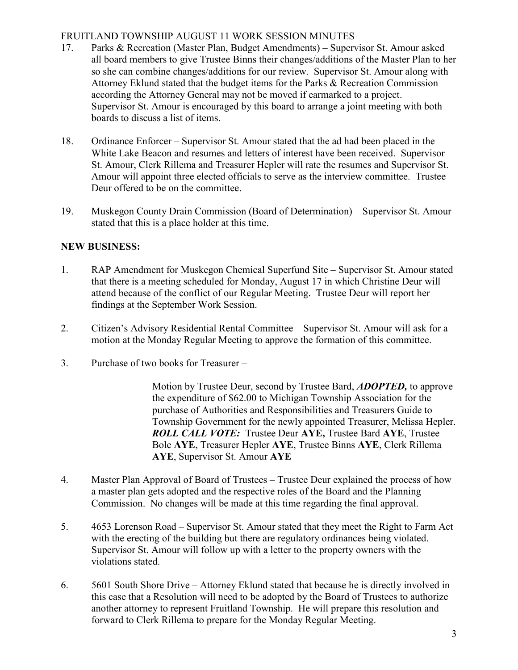## FRUITLAND TOWNSHIP AUGUST 11 WORK SESSION MINUTES

- 17. Parks & Recreation (Master Plan, Budget Amendments) Supervisor St. Amour asked all board members to give Trustee Binns their changes/additions of the Master Plan to her so she can combine changes/additions for our review. Supervisor St. Amour along with Attorney Eklund stated that the budget items for the Parks & Recreation Commission according the Attorney General may not be moved if earmarked to a project. Supervisor St. Amour is encouraged by this board to arrange a joint meeting with both boards to discuss a list of items.
- 18. Ordinance Enforcer Supervisor St. Amour stated that the ad had been placed in the White Lake Beacon and resumes and letters of interest have been received. Supervisor St. Amour, Clerk Rillema and Treasurer Hepler will rate the resumes and Supervisor St. Amour will appoint three elected officials to serve as the interview committee. Trustee Deur offered to be on the committee.
- 19. Muskegon County Drain Commission (Board of Determination) Supervisor St. Amour stated that this is a place holder at this time.

# NEW BUSINESS:

- 1. RAP Amendment for Muskegon Chemical Superfund Site Supervisor St. Amour stated that there is a meeting scheduled for Monday, August 17 in which Christine Deur will attend because of the conflict of our Regular Meeting. Trustee Deur will report her findings at the September Work Session.
- 2. Citizen's Advisory Residential Rental Committee Supervisor St. Amour will ask for a motion at the Monday Regular Meeting to approve the formation of this committee.
- 3. Purchase of two books for Treasurer –

 Motion by Trustee Deur, second by Trustee Bard, ADOPTED, to approve the expenditure of \$62.00 to Michigan Township Association for the purchase of Authorities and Responsibilities and Treasurers Guide to Township Government for the newly appointed Treasurer, Melissa Hepler. ROLL CALL VOTE: Trustee Deur AYE, Trustee Bard AYE, Trustee Bole AYE, Treasurer Hepler AYE, Trustee Binns AYE, Clerk Rillema AYE, Supervisor St. Amour AYE

- 4. Master Plan Approval of Board of Trustees Trustee Deur explained the process of how a master plan gets adopted and the respective roles of the Board and the Planning Commission. No changes will be made at this time regarding the final approval.
- 5. 4653 Lorenson Road Supervisor St. Amour stated that they meet the Right to Farm Act with the erecting of the building but there are regulatory ordinances being violated. Supervisor St. Amour will follow up with a letter to the property owners with the violations stated.
- 6. 5601 South Shore Drive Attorney Eklund stated that because he is directly involved in this case that a Resolution will need to be adopted by the Board of Trustees to authorize another attorney to represent Fruitland Township. He will prepare this resolution and forward to Clerk Rillema to prepare for the Monday Regular Meeting.